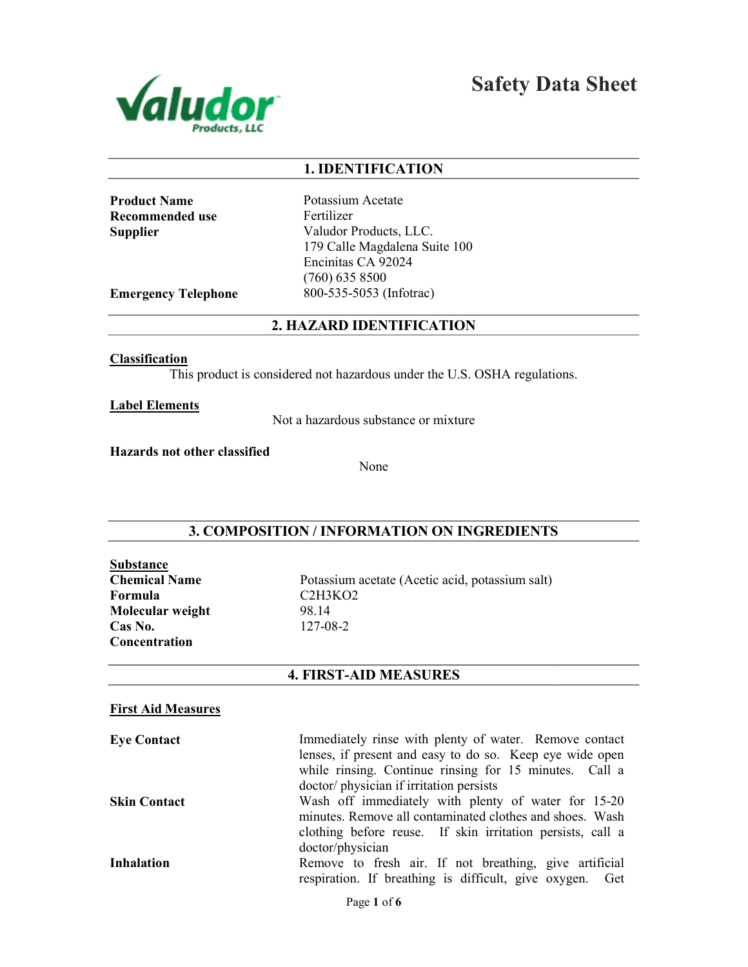

Safety Data Sheet

### 1. IDENTIFICATION

Product Name Recommended use **Supplier** 

Potassium Acetate Fertilizer Valudor Products, LLC. 179 Calle Magdalena Suite 100 Encinitas CA 92024 (760) 635 8500 800-535-5053 (Infotrac)

Emergency Telephone

2. HAZARD IDENTIFICATION

**Classification** 

This product is considered not hazardous under the U.S. OSHA regulations.

Label Elements

Not a hazardous substance or mixture

Hazards not other classified

None

# 3. COMPOSITION / INFORMATION ON INGREDIENTS

Substance Chemical Name Formula Molecular weight Cas No. **Concentration** 

Potassium acetate (Acetic acid, potassium salt) C2H3KO2 98.14 127-08-2

### 4. FIRST-AID MEASURES

### First Aid Measures

| <b>Eye Contact</b>  | Immediately rinse with plenty of water. Remove contact                                                             |
|---------------------|--------------------------------------------------------------------------------------------------------------------|
|                     | lenses, if present and easy to do so. Keep eye wide open                                                           |
|                     | while rinsing. Continue rinsing for 15 minutes. Call a                                                             |
|                     | doctor/ physician if irritation persists                                                                           |
| <b>Skin Contact</b> | Wash off immediately with plenty of water for 15-20                                                                |
|                     | minutes. Remove all contaminated clothes and shoes. Wash                                                           |
|                     | clothing before reuse. If skin irritation persists, call a                                                         |
|                     | doctor/physician                                                                                                   |
| <b>Inhalation</b>   | Remove to fresh air. If not breathing, give artificial<br>respiration. If breathing is difficult, give oxygen. Get |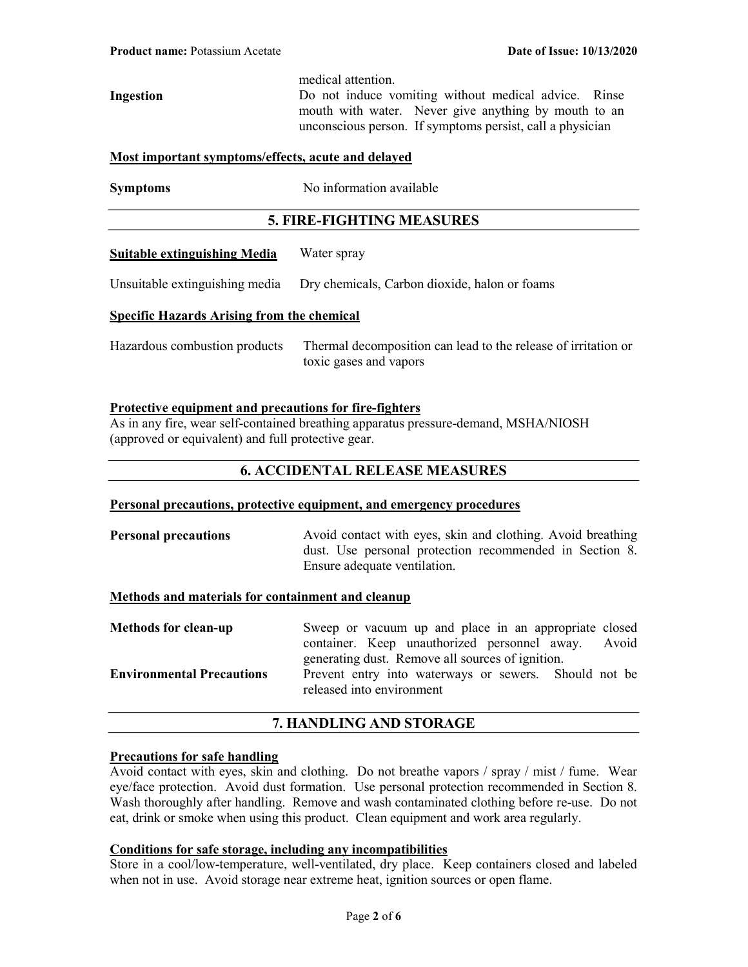medical attention.

Ingestion Do not induce vomiting without medical advice. Rinse mouth with water. Never give anything by mouth to an unconscious person. If symptoms persist, call a physician

#### Most important symptoms/effects, acute and delayed

Symptoms No information available

### 5. FIRE-FIGHTING MEASURES

#### Suitable extinguishing Media Water spray

Unsuitable extinguishing media Dry chemicals, Carbon dioxide, halon or foams

#### Specific Hazards Arising from the chemical

Hazardous combustion products Thermal decomposition can lead to the release of irritation or toxic gases and vapors

### Protective equipment and precautions for fire-fighters

As in any fire, wear self-contained breathing apparatus pressure-demand, MSHA/NIOSH (approved or equivalent) and full protective gear.

### 6. ACCIDENTAL RELEASE MEASURES

#### Personal precautions, protective equipment, and emergency procedures

**Personal precautions** Avoid contact with eyes, skin and clothing. Avoid breathing dust. Use personal protection recommended in Section 8. Ensure adequate ventilation.

### Methods and materials for containment and cleanup

| <b>Methods for clean-up</b>      | Sweep or vacuum up and place in an appropriate closed |  |  |
|----------------------------------|-------------------------------------------------------|--|--|
|                                  | container. Keep unauthorized personnel away. Avoid    |  |  |
|                                  | generating dust. Remove all sources of ignition.      |  |  |
| <b>Environmental Precautions</b> | Prevent entry into waterways or sewers. Should not be |  |  |
|                                  | released into environment                             |  |  |

### 7. HANDLING AND STORAGE

#### Precautions for safe handling

Avoid contact with eyes, skin and clothing. Do not breathe vapors / spray / mist / fume. Wear eye/face protection. Avoid dust formation. Use personal protection recommended in Section 8. Wash thoroughly after handling. Remove and wash contaminated clothing before re-use. Do not eat, drink or smoke when using this product. Clean equipment and work area regularly.

#### Conditions for safe storage, including any incompatibilities

Store in a cool/low-temperature, well-ventilated, dry place. Keep containers closed and labeled when not in use. Avoid storage near extreme heat, ignition sources or open flame.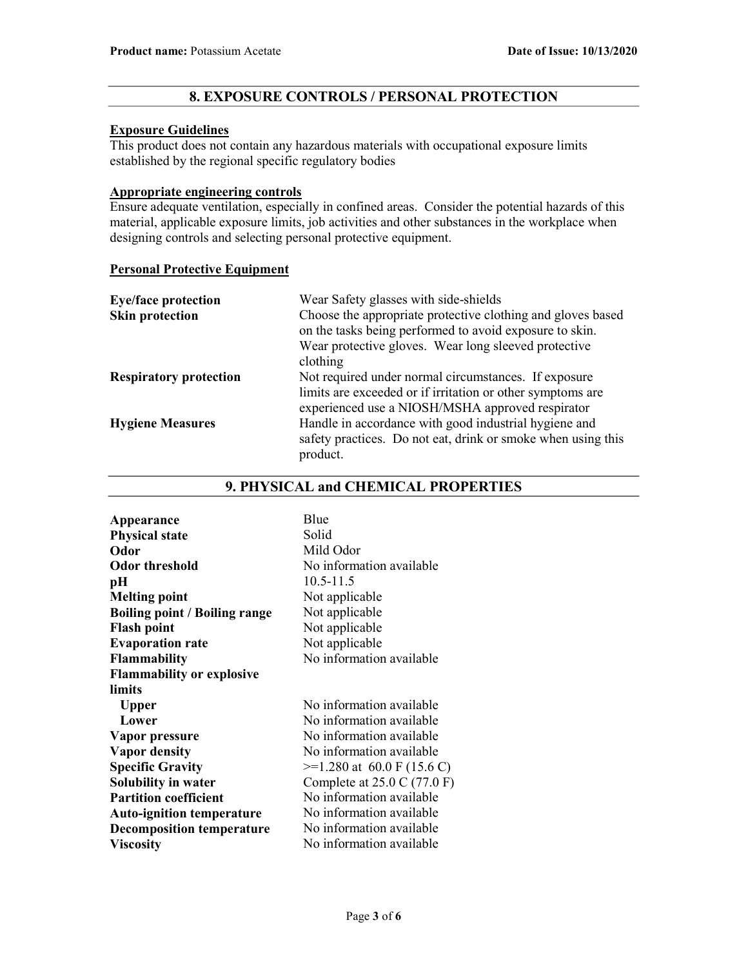## 8. EXPOSURE CONTROLS / PERSONAL PROTECTION

### Exposure Guidelines

This product does not contain any hazardous materials with occupational exposure limits established by the regional specific regulatory bodies

#### Appropriate engineering controls

Ensure adequate ventilation, especially in confined areas. Consider the potential hazards of this material, applicable exposure limits, job activities and other substances in the workplace when designing controls and selecting personal protective equipment.

### Personal Protective Equipment

| <b>Eye/face protection</b>    | Wear Safety glasses with side-shields                        |
|-------------------------------|--------------------------------------------------------------|
| <b>Skin protection</b>        | Choose the appropriate protective clothing and gloves based  |
|                               | on the tasks being performed to avoid exposure to skin.      |
|                               | Wear protective gloves. Wear long sleeved protective         |
|                               | clothing                                                     |
| <b>Respiratory protection</b> | Not required under normal circumstances. If exposure         |
|                               | limits are exceeded or if irritation or other symptoms are   |
|                               | experienced use a NIOSH/MSHA approved respirator             |
| <b>Hygiene Measures</b>       | Handle in accordance with good industrial hygiene and        |
|                               | safety practices. Do not eat, drink or smoke when using this |
|                               | product.                                                     |

### 9. PHYSICAL and CHEMICAL PROPERTIES

| Appearance                           | Blue                                          |
|--------------------------------------|-----------------------------------------------|
| <b>Physical state</b>                | Solid                                         |
| Odor                                 | Mild Odor                                     |
| <b>Odor threshold</b>                | No information available                      |
| pН                                   | $10.5 - 11.5$                                 |
| <b>Melting point</b>                 | Not applicable                                |
| <b>Boiling point / Boiling range</b> | Not applicable                                |
| <b>Flash point</b>                   | Not applicable                                |
| <b>Evaporation rate</b>              | Not applicable                                |
| <b>Flammability</b>                  | No information available                      |
| <b>Flammability or explosive</b>     |                                               |
| limits                               |                                               |
| <b>Upper</b>                         | No information available                      |
| Lower                                | No information available                      |
| Vapor pressure                       | No information available                      |
| <b>Vapor density</b>                 | No information available                      |
| <b>Specific Gravity</b>              | $\geq$ 1.280 at 60.0 F (15.6 C)               |
| Solubility in water                  | Complete at $25.0 \text{ C} (77.0 \text{ F})$ |
| <b>Partition coefficient</b>         | No information available                      |
| <b>Auto-ignition temperature</b>     | No information available                      |
| <b>Decomposition temperature</b>     | No information available                      |
| <b>Viscosity</b>                     | No information available                      |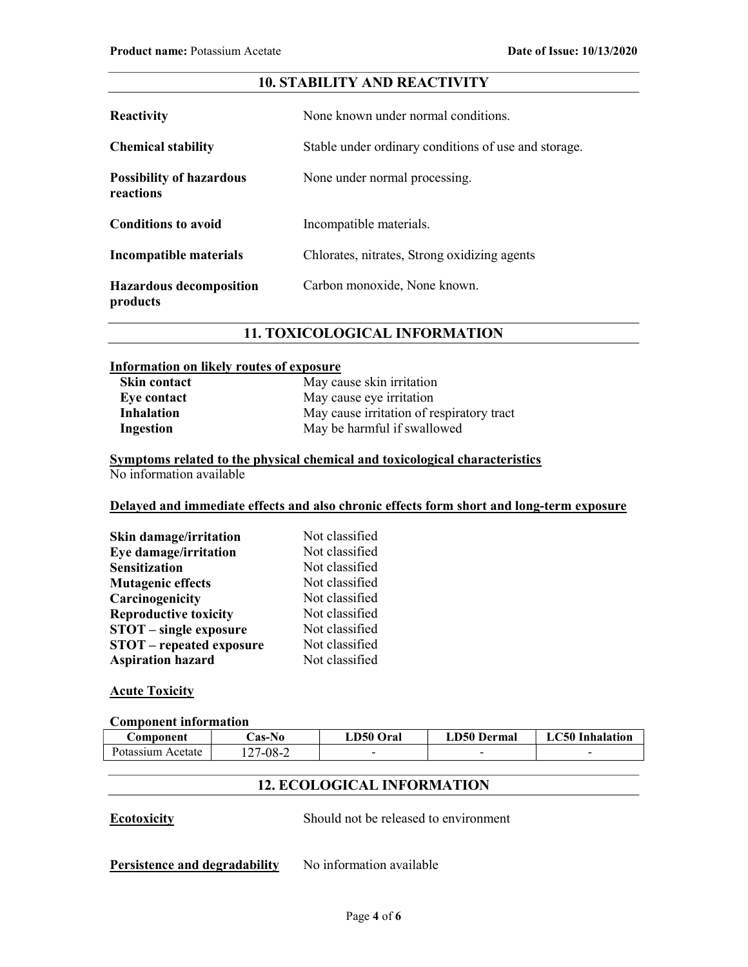# 10. STABILITY AND REACTIVITY

| <b>Reactivity</b>                            | None known under normal conditions.                  |  |
|----------------------------------------------|------------------------------------------------------|--|
| <b>Chemical stability</b>                    | Stable under ordinary conditions of use and storage. |  |
| <b>Possibility of hazardous</b><br>reactions | None under normal processing.                        |  |
| <b>Conditions to avoid</b>                   | Incompatible materials.                              |  |
| Incompatible materials                       | Chlorates, nitrates, Strong oxidizing agents         |  |
| <b>Hazardous decomposition</b><br>products   | Carbon monoxide, None known.                         |  |

## 11. TOXICOLOGICAL INFORMATION

### Information on likely routes of exposure

| Skin contact      | May cause skin irritation                 |
|-------------------|-------------------------------------------|
| Eye contact       | May cause eye irritation                  |
| <b>Inhalation</b> | May cause irritation of respiratory tract |
| Ingestion         | May be harmful if swallowed               |

#### Symptoms related to the physical chemical and toxicological characteristics No information available

# Delayed and immediate effects and also chronic effects form short and long-term exposure

| <b>Skin damage/irritation</b>   | Not classified |
|---------------------------------|----------------|
| Eye damage/irritation           | Not classified |
| <b>Sensitization</b>            | Not classified |
| <b>Mutagenic effects</b>        | Not classified |
| Carcinogenicity                 | Not classified |
| <b>Reproductive toxicity</b>    | Not classified |
| <b>STOT</b> – single exposure   | Not classified |
| <b>STOT</b> – repeated exposure | Not classified |
| <b>Aspiration hazard</b>        | Not classified |

### **Acute Toxicity**

### Component information

| <b>Component</b>  | <b>Cas-No</b> | LD50 Oral | <b>LD50 Dermal</b> | <b>LC50</b> Inhalation |
|-------------------|---------------|-----------|--------------------|------------------------|
| Potassium Acetate | 127-08-2      |           |                    |                        |

# 12. ECOLOGICAL INFORMATION

Ecotoxicity Should not be released to environment

Persistence and degradability No information available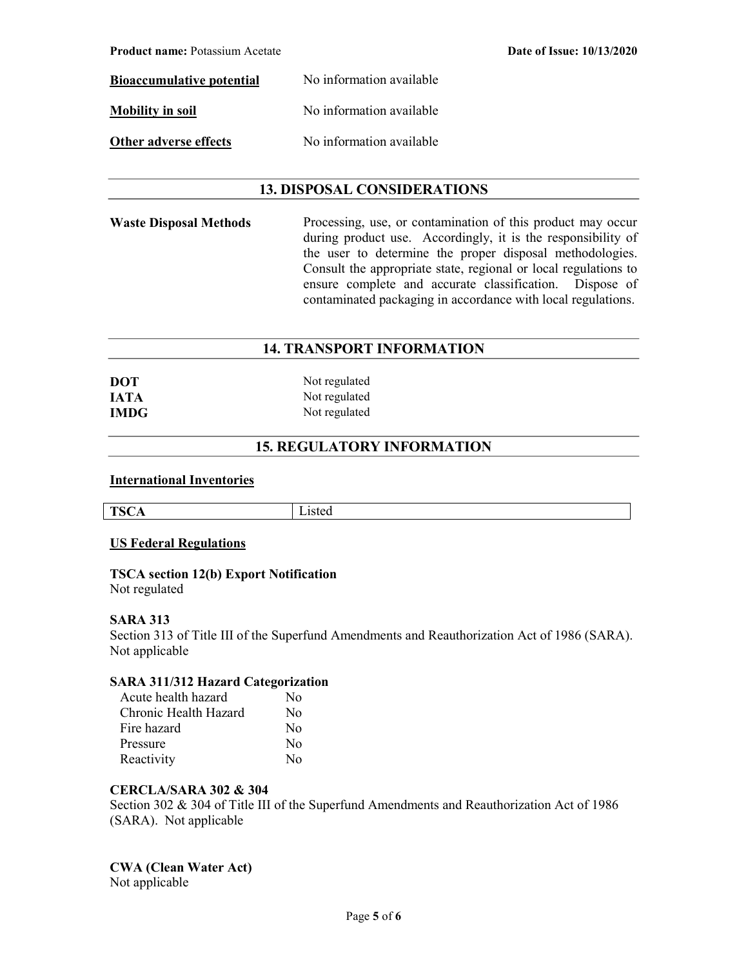| <b>Bioaccumulative potential</b> | No information available |
|----------------------------------|--------------------------|
| <b>Mobility in soil</b>          | No information available |
| <b>Other adverse effects</b>     | No information available |

## 13. DISPOSAL CONSIDERATIONS

Waste Disposal Methods Processing, use, or contamination of this product may occur during product use. Accordingly, it is the responsibility of the user to determine the proper disposal methodologies. Consult the appropriate state, regional or local regulations to ensure complete and accurate classification. Dispose of contaminated packaging in accordance with local regulations.

### 14. TRANSPORT INFORMATION

| <b>DOT</b>  | Not regulated |
|-------------|---------------|
| <b>JATA</b> | Not regulated |
| <b>IMDG</b> | Not regulated |

# 15. REGULATORY INFORMATION

#### International Inventories

| TC.<br>12<br>. .<br>. .<br>-<br>ັ້ | ิ |
|------------------------------------|---|

### US Federal Regulations

#### TSCA section 12(b) Export Notification Not regulated

#### SARA 313

Section 313 of Title III of the Superfund Amendments and Reauthorization Act of 1986 (SARA). Not applicable

### SARA 311/312 Hazard Categorization

| Acute health hazard   | Nο               |
|-----------------------|------------------|
| Chronic Health Hazard | No               |
| Fire hazard           | $\rm No$         |
| Pressure              | No               |
| Reactivity            | $\rm N_{\Omega}$ |

#### CERCLA/SARA 302 & 304

Section 302 & 304 of Title III of the Superfund Amendments and Reauthorization Act of 1986 (SARA). Not applicable

# CWA (Clean Water Act)

Not applicable